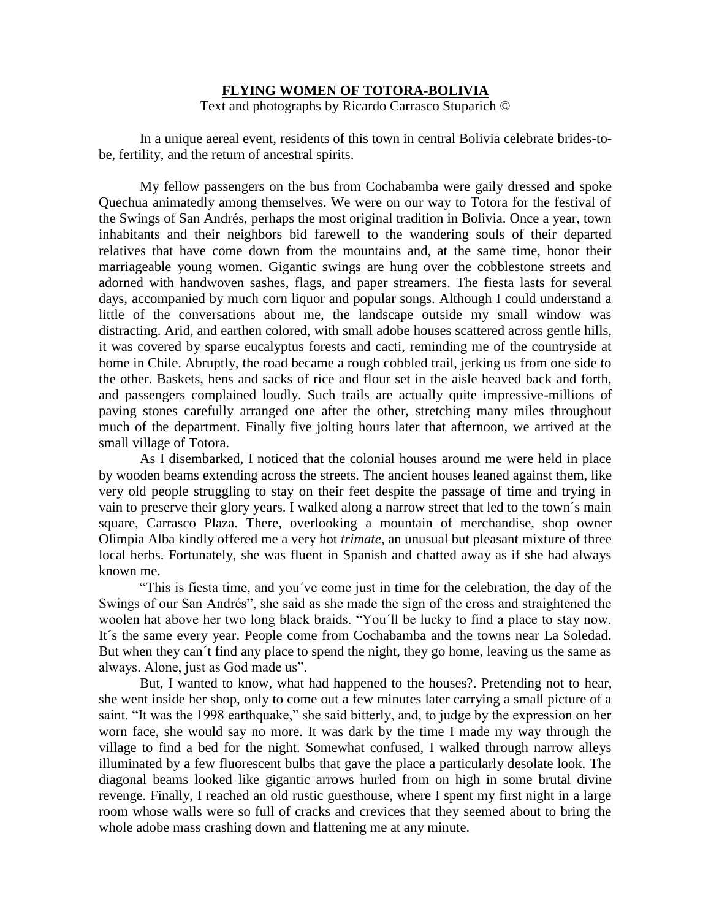## **FLYING WOMEN OF TOTORA-BOLIVIA**

Text and photographs by Ricardo Carrasco Stuparich ©

In a unique aereal event, residents of this town in central Bolivia celebrate brides-tobe, fertility, and the return of ancestral spirits.

My fellow passengers on the bus from Cochabamba were gaily dressed and spoke Quechua animatedly among themselves. We were on our way to Totora for the festival of the Swings of San Andrés, perhaps the most original tradition in Bolivia. Once a year, town inhabitants and their neighbors bid farewell to the wandering souls of their departed relatives that have come down from the mountains and, at the same time, honor their marriageable young women. Gigantic swings are hung over the cobblestone streets and adorned with handwoven sashes, flags, and paper streamers. The fiesta lasts for several days, accompanied by much corn liquor and popular songs. Although I could understand a little of the conversations about me, the landscape outside my small window was distracting. Arid, and earthen colored, with small adobe houses scattered across gentle hills, it was covered by sparse eucalyptus forests and cacti, reminding me of the countryside at home in Chile. Abruptly, the road became a rough cobbled trail, jerking us from one side to the other. Baskets, hens and sacks of rice and flour set in the aisle heaved back and forth, and passengers complained loudly. Such trails are actually quite impressive-millions of paving stones carefully arranged one after the other, stretching many miles throughout much of the department. Finally five jolting hours later that afternoon, we arrived at the small village of Totora.

As I disembarked, I noticed that the colonial houses around me were held in place by wooden beams extending across the streets. The ancient houses leaned against them, like very old people struggling to stay on their feet despite the passage of time and trying in vain to preserve their glory years. I walked along a narrow street that led to the town´s main square, Carrasco Plaza. There, overlooking a mountain of merchandise, shop owner Olimpia Alba kindly offered me a very hot *trimate*, an unusual but pleasant mixture of three local herbs. Fortunately, she was fluent in Spanish and chatted away as if she had always known me.

"This is fiesta time, and you´ve come just in time for the celebration, the day of the Swings of our San Andrés", she said as she made the sign of the cross and straightened the woolen hat above her two long black braids. "You´ll be lucky to find a place to stay now. It´s the same every year. People come from Cochabamba and the towns near La Soledad. But when they can´t find any place to spend the night, they go home, leaving us the same as always. Alone, just as God made us".

But, I wanted to know, what had happened to the houses?. Pretending not to hear, she went inside her shop, only to come out a few minutes later carrying a small picture of a saint. "It was the 1998 earthquake," she said bitterly, and, to judge by the expression on her worn face, she would say no more. It was dark by the time I made my way through the village to find a bed for the night. Somewhat confused, I walked through narrow alleys illuminated by a few fluorescent bulbs that gave the place a particularly desolate look. The diagonal beams looked like gigantic arrows hurled from on high in some brutal divine revenge. Finally, I reached an old rustic guesthouse, where I spent my first night in a large room whose walls were so full of cracks and crevices that they seemed about to bring the whole adobe mass crashing down and flattening me at any minute.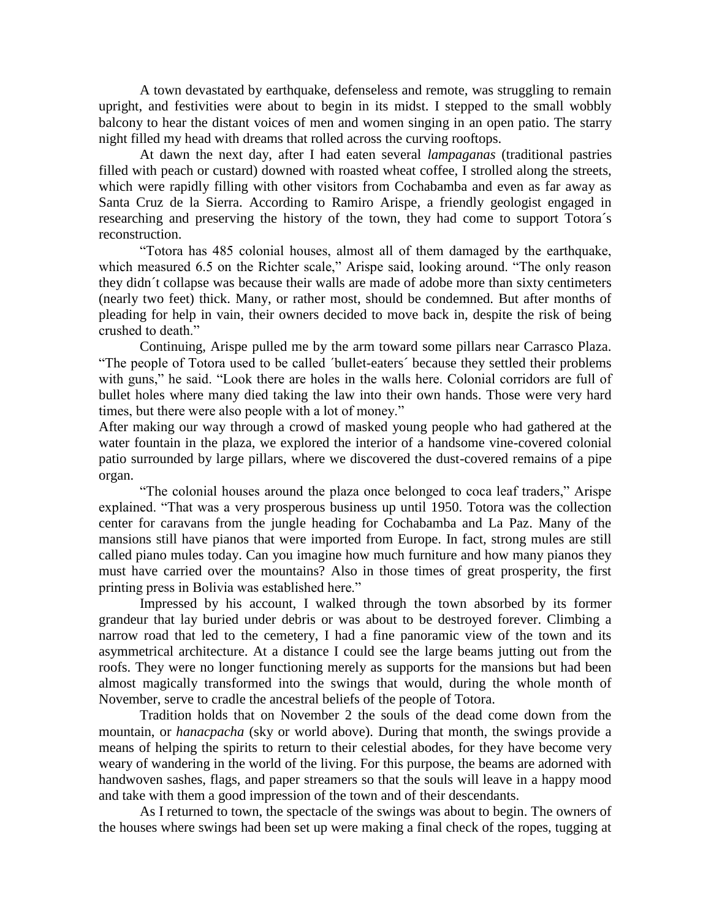A town devastated by earthquake, defenseless and remote, was struggling to remain upright, and festivities were about to begin in its midst. I stepped to the small wobbly balcony to hear the distant voices of men and women singing in an open patio. The starry night filled my head with dreams that rolled across the curving rooftops.

At dawn the next day, after I had eaten several *lampaganas* (traditional pastries filled with peach or custard) downed with roasted wheat coffee, I strolled along the streets, which were rapidly filling with other visitors from Cochabamba and even as far away as Santa Cruz de la Sierra. According to Ramiro Arispe, a friendly geologist engaged in researching and preserving the history of the town, they had come to support Totora´s reconstruction.

"Totora has 485 colonial houses, almost all of them damaged by the earthquake, which measured 6.5 on the Richter scale," Arispe said, looking around. "The only reason they didn´t collapse was because their walls are made of adobe more than sixty centimeters (nearly two feet) thick. Many, or rather most, should be condemned. But after months of pleading for help in vain, their owners decided to move back in, despite the risk of being crushed to death."

Continuing, Arispe pulled me by the arm toward some pillars near Carrasco Plaza. "The people of Totora used to be called ´bullet-eaters´ because they settled their problems with guns," he said. "Look there are holes in the walls here. Colonial corridors are full of bullet holes where many died taking the law into their own hands. Those were very hard times, but there were also people with a lot of money."

After making our way through a crowd of masked young people who had gathered at the water fountain in the plaza, we explored the interior of a handsome vine-covered colonial patio surrounded by large pillars, where we discovered the dust-covered remains of a pipe organ.

"The colonial houses around the plaza once belonged to coca leaf traders," Arispe explained. "That was a very prosperous business up until 1950. Totora was the collection center for caravans from the jungle heading for Cochabamba and La Paz. Many of the mansions still have pianos that were imported from Europe. In fact, strong mules are still called piano mules today. Can you imagine how much furniture and how many pianos they must have carried over the mountains? Also in those times of great prosperity, the first printing press in Bolivia was established here."

Impressed by his account, I walked through the town absorbed by its former grandeur that lay buried under debris or was about to be destroyed forever. Climbing a narrow road that led to the cemetery, I had a fine panoramic view of the town and its asymmetrical architecture. At a distance I could see the large beams jutting out from the roofs. They were no longer functioning merely as supports for the mansions but had been almost magically transformed into the swings that would, during the whole month of November, serve to cradle the ancestral beliefs of the people of Totora.

Tradition holds that on November 2 the souls of the dead come down from the mountain, or *hanacpacha* (sky or world above). During that month, the swings provide a means of helping the spirits to return to their celestial abodes, for they have become very weary of wandering in the world of the living. For this purpose, the beams are adorned with handwoven sashes, flags, and paper streamers so that the souls will leave in a happy mood and take with them a good impression of the town and of their descendants.

As I returned to town, the spectacle of the swings was about to begin. The owners of the houses where swings had been set up were making a final check of the ropes, tugging at